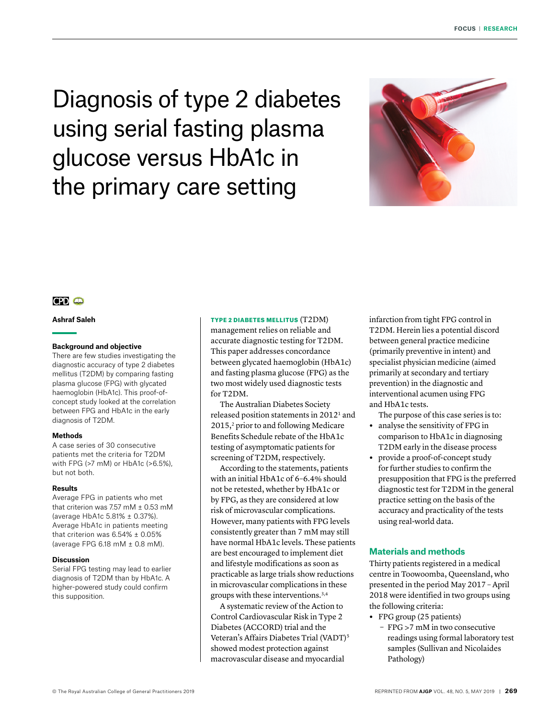Diagnosis of type 2 diabetes using serial fasting plasma glucose versus HbA1c in the primary care setting



# $CPD$   $CD$

## **Ashraf Saleh**

### **Background and objective**

There are few studies investigating the diagnostic accuracy of type 2 diabetes mellitus (T2DM) by comparing fasting plasma glucose (FPG) with glycated haemoglobin (HbA1c). This proof-ofconcept study looked at the correlation between FPG and HbA1c in the early diagnosis of T2DM.

#### **Methods**

A case series of 30 consecutive patients met the criteria for T2DM with FPG (>7 mM) or HbA1c (>6.5%), but not both.

#### **Results**

Average FPG in patients who met that criterion was 7.57 mM  $\pm$  0.53 mM (average HbA1c 5.81% ± 0.37%). Average HbA1c in patients meeting that criterion was 6.54% ± 0.05% (average FPG 6.18 mM ± 0.8 mM).

### **Discussion**

Serial FPG testing may lead to earlier diagnosis of T2DM than by HbA1c. A higher-powered study could confirm this supposition.

### TYPE 2 DIABETES MELLITUS (T2DM)

management relies on reliable and accurate diagnostic testing for T2DM. This paper addresses concordance between glycated haemoglobin (HbA1c) and fasting plasma glucose (FPG) as the two most widely used diagnostic tests for T2DM.

The Australian Diabetes Society released position statements in 20121 and 2015, 2 prior to and following Medicare Benefits Schedule rebate of the HbA1c testing of asymptomatic patients for screening of T2DM, respectively.

According to the statements, patients with an initial HbA1c of 6-6.4% should not be retested, whether by HbA1c or by FPG, as they are considered at low risk of microvascular complications. However, many patients with FPG levels consistently greater than 7 mM may still have normal HbA1c levels. These patients are best encouraged to implement diet and lifestyle modifications as soon as practicable as large trials show reductions in microvascular complications in these groups with these interventions.3,4

A systematic review of the Action to Control Cardiovascular Risk in Type 2 Diabetes (ACCORD) trial and the Veteran's Affairs Diabetes Trial (VADT)<sup>5</sup> showed modest protection against macrovascular disease and myocardial

infarction from tight FPG control in T2DM. Herein lies a potential discord between general practice medicine (primarily preventive in intent) and specialist physician medicine (aimed primarily at secondary and tertiary prevention) in the diagnostic and interventional acumen using FPG and HbA1c tests.

The purpose of this case series is to:

- **•** analyse the sensitivity of FPG in comparison to HbA1c in diagnosing T2DM early in the disease process
- **•** provide a proof-of-concept study for further studies to confirm the presupposition that FPG is the preferred diagnostic test for T2DM in the general practice setting on the basis of the accuracy and practicality of the tests using real-world data.

# **Materials and methods**

Thirty patients registered in a medical centre in Toowoomba, Queensland, who presented in the period May 2017 – April 2018 were identified in two groups using the following criteria:

- **•** FPG group (25 patients)
	- FPG >7 mM in two consecutive readings using formal laboratory test samples (Sullivan and Nicolaides Pathology)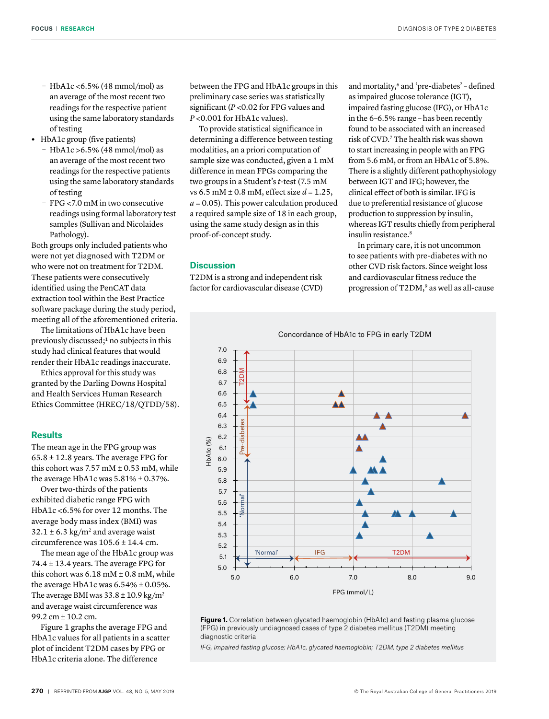- $-$  HbA1c < 6.5% (48 mmol/mol) as an average of the most recent two readings for the respective patient using the same laboratory standards of testing
- **•** HbA1c group (five patients)
	- $-$  HbA1c > 6.5% (48 mmol/mol) as an average of the most recent two readings for the respective patients using the same laboratory standards of testing
	- FPG <7.0 mM in two consecutive readings using formal laboratory test samples (Sullivan and Nicolaides Pathology).

Both groups only included patients who were not yet diagnosed with T2DM or who were not on treatment for T2DM. These patients were consecutively identified using the PenCAT data extraction tool within the Best Practice software package during the study period, meeting all of the aforementioned criteria.

The limitations of HbA1c have been previously discussed;<sup>1</sup> no subjects in this study had clinical features that would render their HbA1c readings inaccurate.

Ethics approval for this study was granted by the Darling Downs Hospital and Health Services Human Research Ethics Committee (HREC/18/QTDD/58).

### **Results**

The mean age in the FPG group was  $65.8 \pm 12.8$  years. The average FPG for this cohort was  $7.57$  mM  $\pm$  0.53 mM, while the average HbA1c was  $5.81\% \pm 0.37\%$ .

Over two-thirds of the patients exhibited diabetic range FPG with HbA1c <6.5% for over 12 months. The average body mass index (BMI) was  $32.1 \pm 6.3 \text{ kg/m}^2$  and average waist circumference was 105.6 ± 14.4 cm.

The mean age of the HbA1c group was 74.4  $\pm$  13.4 years. The average FPG for this cohort was  $6.18 \text{ mM} \pm 0.8 \text{ mM}$ , while the average HbA1c was 6.54% ± 0.05%. The average BMI was  $33.8 \pm 10.9$  kg/m<sup>2</sup> and average waist circumference was 99.2 cm ± 10.2 cm.

Figure 1 graphs the average FPG and HbA1c values for all patients in a scatter plot of incident T2DM cases by FPG or HbA1c criteria alone. The difference

between the FPG and HbA1c groups in this preliminary case series was statistically significant (*P* <0.02 for FPG values and *P* <0.001 for HbA1c values).

To provide statistical significance in determining a difference between testing modalities, an a priori computation of sample size was conducted, given a 1 mM difference in mean FPGs comparing the two groups in a Student's *t*-test (7.5 mM vs 6.5 mM ± 0.8 mM, effect size *d* = 1.25,  $a = 0.05$ ). This power calculation produced a required sample size of 18 in each group, using the same study design as in this proof-of-concept study.

## **Discussion**

T2DM is a strong and independent risk factor for cardiovascular disease (CVD) and mortality,<sup>6</sup> and 'pre-diabetes' – defined as impaired glucose tolerance (IGT), impaired fasting glucose (IFG), or HbA1c in the 6–6.5% range – has been recently found to be associated with an increased risk of CVD.7 The health risk was shown to start increasing in people with an FPG from 5.6 mM, or from an HbA1c of 5.8%. There is a slightly different pathophysiology between IGT and IFG; however, the clinical effect of both is similar. IFG is due to preferential resistance of glucose production to suppression by insulin, whereas IGT results chiefly from peripheral insulin resistance.8

In primary care, it is not uncommon to see patients with pre-diabetes with no other CVD risk factors. Since weight loss and cardiovascular fitness reduce the progression of T2DM,<sup>9</sup> as well as all-cause



Figure 1. Correlation between glycated haemoglobin (HbA1c) and fasting plasma glucose (FPG) in previously undiagnosed cases of type 2 diabetes mellitus (T2DM) meeting diagnostic criteria

*IFG, impaired fasting glucose; HbA1c, glycated haemoglobin; T2DM, type 2 diabetes mellitus*